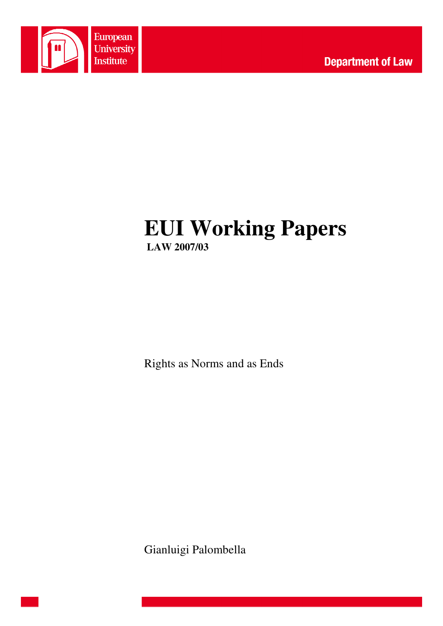

# **EUI Working Papers LAW 2007/03**

Rights as Norms and as Ends

Gianluigi Palombella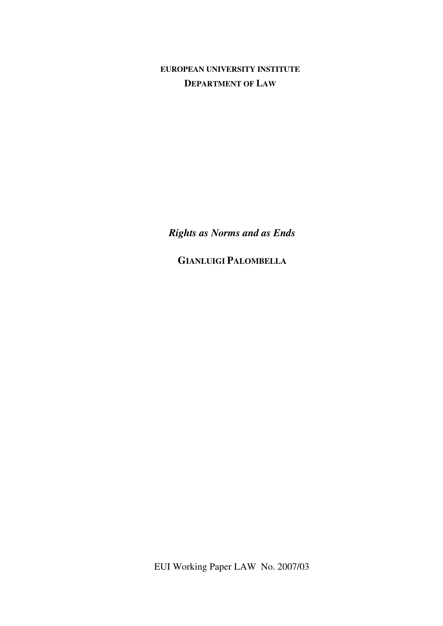**EUROPEAN UNIVERSITY INSTITUTE DEPARTMENT OF LAW**

*Rights as Norms and as Ends* 

**GIANLUIGI PALOMBELLA**

EUI Working Paper LAW No. 2007/03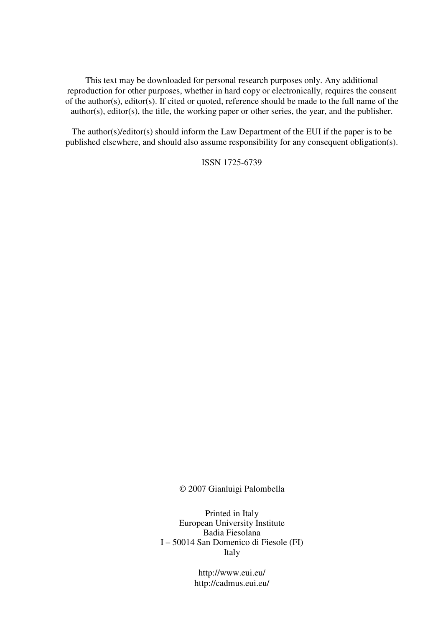This text may be downloaded for personal research purposes only. Any additional reproduction for other purposes, whether in hard copy or electronically, requires the consent of the author(s), editor(s). If cited or quoted, reference should be made to the full name of the author(s), editor(s), the title, the working paper or other series, the year, and the publisher.

The author(s)/editor(s) should inform the Law Department of the EUI if the paper is to be published elsewhere, and should also assume responsibility for any consequent obligation(s).

ISSN 1725-6739

© 2007 Gianluigi Palombella

Printed in Italy European University Institute Badia Fiesolana I – 50014 San Domenico di Fiesole (FI) Italy

> http://www.eui.eu/ http://cadmus.eui.eu/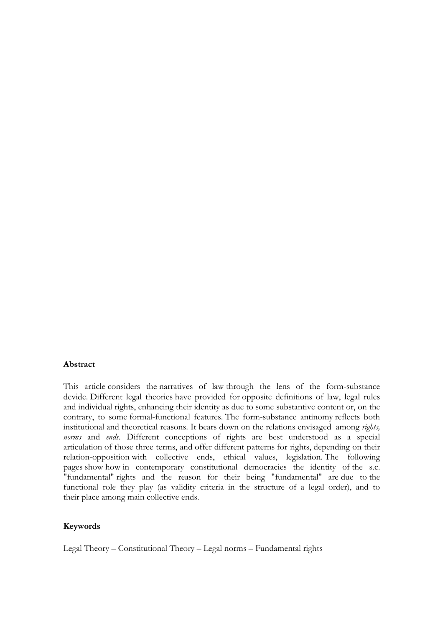#### Abstract

This article considers the narratives of law through the lens of the form-substance devide. Different legal theories have provided for opposite definitions of law, legal rules and individual rights, enhancing their identity as due to some substantive content or, on the contrary, to some formal-functional features. The form-substance antinomy reflects both institutional and theoretical reasons. It bears down on the relations envisaged among rights, norms and ends. Different conceptions of rights are best understood as a special articulation of those three terms, and offer different patterns for rights, depending on their relation-opposition with collective ends, ethical values, legislation. The following pages show how in contemporary constitutional democracies the identity of the s.c. "fundamental" rights and the reason for their being "fundamental" are due to the functional role they play (as validity criteria in the structure of a legal order), and to their place among main collective ends.

## Keywords

Legal Theory – Constitutional Theory – Legal norms – Fundamental rights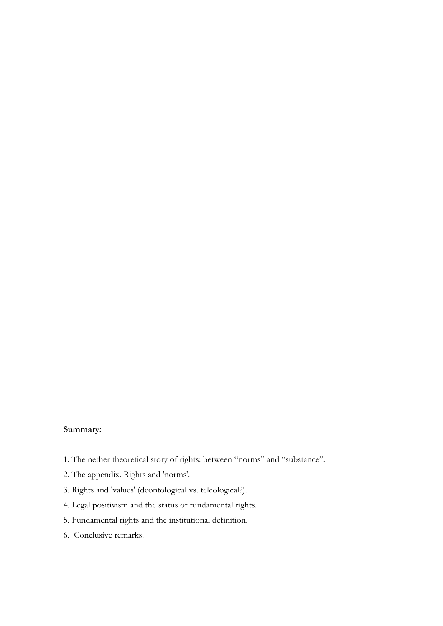# Summary:

- 1. The nether theoretical story of rights: between "norms" and "substance".
- 2. The appendix. Rights and 'norms'.
- 3. Rights and 'values' (deontological vs. teleological?).
- 4. Legal positivism and the status of fundamental rights.
- 5. Fundamental rights and the institutional definition.
- 6. Conclusive remarks.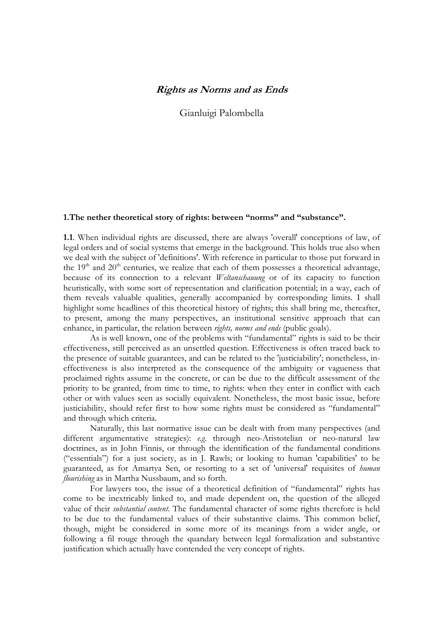## Rights as Norms and as Ends

Gianluigi Palombella

### 1.The nether theoretical story of rights: between "norms" and "substance".

1.1. When individual rights are discussed, there are always 'overall' conceptions of law, of legal orders and of social systems that emerge in the background. This holds true also when we deal with the subject of 'definitions'. With reference in particular to those put forward in the  $19<sup>th</sup>$  and  $20<sup>th</sup>$  centuries, we realize that each of them possesses a theoretical advantage, because of its connection to a relevant *Weltanschauung* or of its capacity to function heuristically, with some sort of representation and clarification potential; in a way, each of them reveals valuable qualities, generally accompanied by corresponding limits. I shall highlight some headlines of this theoretical history of rights; this shall bring me, thereafter, to present, among the many perspectives, an institutional sensitive approach that can enhance, in particular, the relation between *rights, norms and ends* (public goals).

As is well known, one of the problems with "fundamental" rights is said to be their effectiveness, still perceived as an unsettled question. Effectiveness is often traced back to the presence of suitable guarantees, and can be related to the 'justiciability'; nonetheless, ineffectiveness is also interpreted as the consequence of the ambiguity or vagueness that proclaimed rights assume in the concrete, or can be due to the difficult assessment of the priority to be granted, from time to time, to rights: when they enter in conflict with each other or with values seen as socially equivalent. Nonetheless, the most basic issue, before justiciability, should refer first to how some rights must be considered as "fundamental" and through which criteria.

Naturally, this last normative issue can be dealt with from many perspectives (and different argumentative strategies): e.g. through neo-Aristotelian or neo-natural law doctrines, as in John Finnis, or through the identification of the fundamental conditions ("essentials") for a just society, as in J. Rawls; or looking to human 'capabilities' to be guaranteed, as for Amartya Sen, or resorting to a set of 'universal' requisites of human flourishing as in Martha Nussbaum, and so forth.

For lawyers too, the issue of a theoretical definition of "fundamental" rights has come to be inextricably linked to, and made dependent on, the question of the alleged value of their substantial content. The fundamental character of some rights therefore is held to be due to the fundamental values of their substantive claims. This common belief, though, might be considered in some more of its meanings from a wider angle, or following a fil rouge through the quandary between legal formalization and substantive justification which actually have contended the very concept of rights.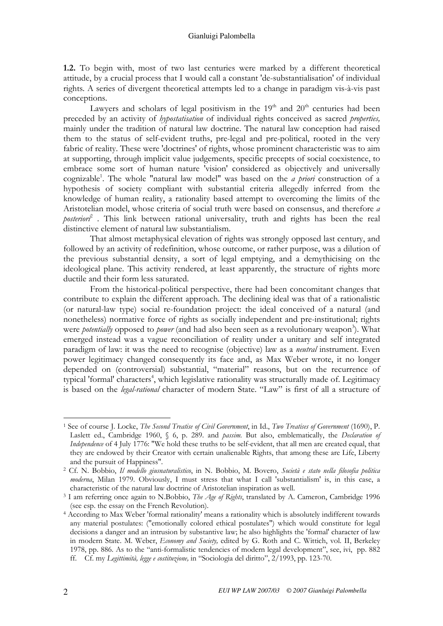1.2. To begin with, most of two last centuries were marked by a different theoretical attitude, by a crucial process that I would call a constant 'de-substantialisation' of individual rights. A series of divergent theoretical attempts led to a change in paradigm vis-à-vis past conceptions.

Lawyers and scholars of legal positivism in the  $19<sup>th</sup>$  and  $20<sup>th</sup>$  centuries had been preceded by an activity of hypostatisation of individual rights conceived as sacred properties, mainly under the tradition of natural law doctrine. The natural law conception had raised them to the status of self-evident truths, pre-legal and pre-political, rooted in the very fabric of reality. These were 'doctrines' of rights, whose prominent characteristic was to aim at supporting, through implicit value judgements, specific precepts of social coexistence, to embrace some sort of human nature 'vision' considered as objectively and universally cognizable<sup>1</sup>. The whole "natural law model" was based on the *a priori* construction of a hypothesis of society compliant with substantial criteria allegedly inferred from the knowledge of human reality, a rationality based attempt to overcoming the limits of the Aristotelian model, whose criteria of social truth were based on consensus, and therefore a posterior $\hat{i}$  . This link between rational universality, truth and rights has been the real distinctive element of natural law substantialism.

That almost metaphysical elevation of rights was strongly opposed last century, and followed by an activity of redefinition, whose outcome, or rather purpose, was a dilution of the previous substantial density, a sort of legal emptying, and a demythicising on the ideological plane. This activity rendered, at least apparently, the structure of rights more ductile and their form less saturated.

From the historical-political perspective, there had been concomitant changes that contribute to explain the different approach. The declining ideal was that of a rationalistic (or natural-law type) social re-foundation project: the ideal conceived of a natural (and nonetheless) normative force of rights as socially independent and pre-institutional; rights were *potentially* opposed to *power* (and had also been seen as a revolutionary weapon<sup>3</sup>). What emerged instead was a vague reconciliation of reality under a unitary and self integrated paradigm of law: it was the need to recognise (objective) law as a neutral instrument. Even power legitimacy changed consequently its face and, as Max Weber wrote, it no longer depended on (controversial) substantial, "material" reasons, but on the recurrence of typical 'formal' characters<sup>4</sup>, which legislative rationality was structurally made of. Legitimacy is based on the *legal-rational* character of modern State. "Law" is first of all a structure of

<sup>&</sup>lt;sup>1</sup> See of course J. Locke, The Second Treatise of Civil Government, in Id., Two Treatises of Government (1690), P. Laslett ed., Cambridge 1960,  $\S$  6, p. 289. and *passim*. But also, emblematically, the *Declaration of* Independence of 4 July 1776: "We hold these truths to be self-evident, that all men are created equal, that they are endowed by their Creator with certain unalienable Rights, that among these are Life, Liberty and the pursuit of Happiness".

<sup>&</sup>lt;sup>2</sup> Cf. N. Bobbio, Il modello giusnaturalistico, in N. Bobbio, M. Bovero, Società e stato nella filosofia politica moderna, Milan 1979. Obviously, I must stress that what I call 'substantialism' is, in this case, a characteristic of the natural law doctrine of Aristotelian inspiration as well.

<sup>&</sup>lt;sup>3</sup> I am referring once again to N.Bobbio, *The Age of Rights*, translated by A. Cameron, Cambridge 1996 (see esp. the essay on the French Revolution).

<sup>4</sup> According to Max Weber 'formal rationality' means a rationality which is absolutely indifferent towards any material postulates: ("emotionally colored ethical postulates") which would constitute for legal decisions a danger and an intrusion by substantive law; he also highlights the 'formal' character of law in modern State. M. Weber, Economy and Society, edited by G. Roth and C. Wittich, vol. II, Berkeley 1978, pp. 886. As to the "anti-formalistic tendencies of modern legal development", see, ivi, pp. 882 ff. Cf. my Legittimità, legge e costituzione, in "Sociologia del diritto", 2/1993, pp. 123-70.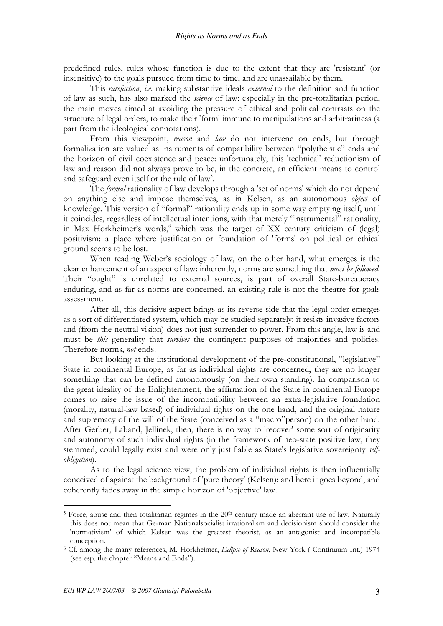predefined rules, rules whose function is due to the extent that they are 'resistant' (or insensitive) to the goals pursued from time to time, and are unassailable by them.

This *rarefaction*, *i.e.* making substantive ideals *external* to the definition and function of law as such, has also marked the science of law: especially in the pre-totalitarian period, the main moves aimed at avoiding the pressure of ethical and political contrasts on the structure of legal orders, to make their 'form' immune to manipulations and arbitrariness (a part from the ideological connotations).

From this viewpoint, reason and law do not intervene on ends, but through formalization are valued as instruments of compatibility between "polytheistic" ends and the horizon of civil coexistence and peace: unfortunately, this 'technical' reductionism of law and reason did not always prove to be, in the concrete, an efficient means to control and safeguard even itself or the rule of law<sup>5</sup>.

The *formal* rationality of law develops through a 'set of norms' which do not depend on anything else and impose themselves, as in Kelsen, as an autonomous object of knowledge. This version of "formal" rationality ends up in some way emptying itself, until it coincides, regardless of intellectual intentions, with that merely "instrumental" rationality, in Max Horkheimer's words, which was the target of XX century criticism of (legal) positivism: a place where justification or foundation of 'forms' on political or ethical ground seems to be lost.

When reading Weber's sociology of law, on the other hand, what emerges is the clear enhancement of an aspect of law: inherently, norms are something that *must be followed*. Their "ought" is unrelated to external sources, is part of overall State-bureaucracy enduring, and as far as norms are concerned, an existing rule is not the theatre for goals assessment.

After all, this decisive aspect brings as its reverse side that the legal order emerges as a sort of differentiated system, which may be studied separately: it resists invasive factors and (from the neutral vision) does not just surrender to power. From this angle, law is and must be *this* generality that *survives* the contingent purposes of majorities and policies. Therefore norms, *not* ends.

But looking at the institutional development of the pre-constitutional, "legislative" State in continental Europe, as far as individual rights are concerned, they are no longer something that can be defined autonomously (on their own standing). In comparison to the great ideality of the Enlightenment, the affirmation of the State in continental Europe comes to raise the issue of the incompatibility between an extra-legislative foundation (morality, natural-law based) of individual rights on the one hand, and the original nature and supremacy of the will of the State (conceived as a "macro"person) on the other hand. After Gerber, Laband, Jellinek, then, there is no way to 'recover' some sort of originarity and autonomy of such individual rights (in the framework of neo-state positive law, they stemmed, could legally exist and were only justifiable as State's legislative sovereignty selfobligation).

As to the legal science view, the problem of individual rights is then influentially conceived of against the background of 'pure theory' (Kelsen): and here it goes beyond, and coherently fades away in the simple horizon of 'objective' law.

 $5$  Force, abuse and then totalitarian regimes in the  $20<sup>th</sup>$  century made an aberrant use of law. Naturally this does not mean that German Nationalsocialist irrationalism and decisionism should consider the 'normativism' of which Kelsen was the greatest theorist, as an antagonist and incompatible conception.

<sup>&</sup>lt;sup>6</sup> Cf. among the many references, M. Horkheimer, Eclipse of Reason, New York (Continuum Int.) 1974 (see esp. the chapter "Means and Ends").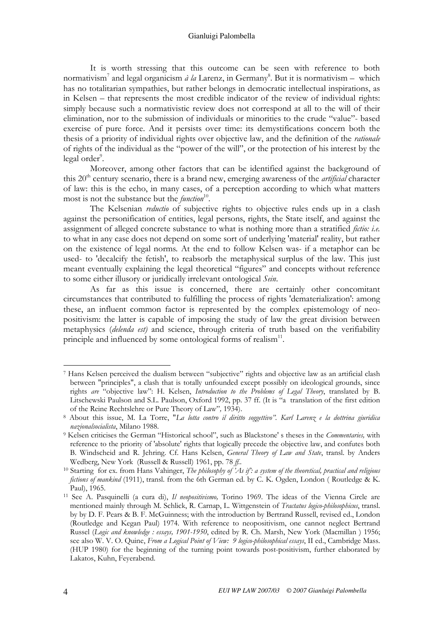#### Gianluigi Palombella

It is worth stressing that this outcome can be seen with reference to both normativism<sup>7</sup> and legal organicism  $\hat{a}$  la Larenz, in Germany<sup>8</sup>. But it is normativism – which has no totalitarian sympathies, but rather belongs in democratic intellectual inspirations, as in Kelsen – that represents the most credible indicator of the review of individual rights: simply because such a normativistic review does not correspond at all to the will of their elimination, nor to the submission of individuals or minorities to the crude "value"- based exercise of pure force. And it persists over time: its demystifications concern both the thesis of a priority of individual rights over objective law, and the definition of the rationale of rights of the individual as the "power of the will", or the protection of his interest by the legal order<sup>9</sup>.

Moreover, among other factors that can be identified against the background of this 20<sup>th</sup> century scenario, there is a brand new, emerging awareness of the *artificial* character of law: this is the echo, in many cases, of a perception according to which what matters most is not the substance but the *function*<sup>10</sup>.

The Kelsenian *reductio* of subjective rights to objective rules ends up in a clash against the personification of entities, legal persons, rights, the State itself, and against the assignment of alleged concrete substance to what is nothing more than a stratified *fictio: i.e.* to what in any case does not depend on some sort of underlying 'material' reality, but rather on the existence of legal norms. At the end to follow Kelsen was- if a metaphor can be used- to 'decalcify the fetish', to reabsorb the metaphysical surplus of the law. This just meant eventually explaining the legal theoretical "figures" and concepts without reference to some either illusory or juridically irrelevant ontological Sein.

As far as this issue is concerned, there are certainly other concomitant circumstances that contributed to fulfilling the process of rights 'dematerialization': among these, an influent common factor is represented by the complex epistemology of neopositivism: the latter is capable of imposing the study of law the great division between metaphysics (delenda est) and science, through criteria of truth based on the verifiability principle and influenced by some ontological forms of realism $11$ .

<sup>7</sup> Hans Kelsen perceived the dualism between "subjective" rights and objective law as an artificial clash between "principles", a clash that is totally unfounded except possibly on ideological grounds, since rights are "objective law": H. Kelsen, Introduction to the Problems of Legal Theory, translated by B. Litschewski Paulson and S.L. Paulson, Oxford 1992, pp. 37 ff. (It is "a translation of the first edition of the Reine Rechtslehre or Pure Theory of Law", 1934).

<sup>&</sup>lt;sup>8</sup> About this issue, M. La Torre, "La lotta contro il diritto soggettivo". Karl Larenz e la dottrina giuridica nazionalsocialista, Milano 1988.

<sup>&</sup>lt;sup>9</sup> Kelsen criticises the German "Historical school", such as Blackstone' s theses in the Commentaries, with reference to the priority of 'absolute' rights that logically precede the objective law, and confutes both B. Windscheid and R. Jehring. Cf. Hans Kelsen, General Theory of Law and State, transl. by Anders Wedberg, New York (Russell & Russell) 1961, pp. 78 ff..

<sup>&</sup>lt;sup>10</sup> Starting for ex. from Hans Vahinger, *The philosophy of 'As if': a system of the theoretical, practical and religious* fictions of mankind (1911), transl. from the 6th German ed. by C. K. Ogden, London (Routledge & K. Paul), 1965.

<sup>&</sup>lt;sup>11</sup> See A. Pasquinelli (a cura di), *Il neopositivismo*, Torino 1969. The ideas of the Vienna Circle are mentioned mainly through M. Schlick, R. Carnap, L. Wittgenstein of Tractatus logico-philosophicus, transl. by by D. F. Pears & B. F. McGuinness; with the introduction by Bertrand Russell, revised ed., London (Routledge and Kegan Paul) 1974. With reference to neopositivism, one cannot neglect Bertrand Russel (Logic and knowledge : essays, 1901-1950, edited by R. Ch. Marsh, New York (Macmillan ) 1956; see also W. V. O. Quine, From a Logical Point of View: 9 logico-philosophical essays, II ed., Cambridge Mass. (HUP 1980) for the beginning of the turning point towards post-positivism, further elaborated by Lakatos, Kuhn, Feyerabend.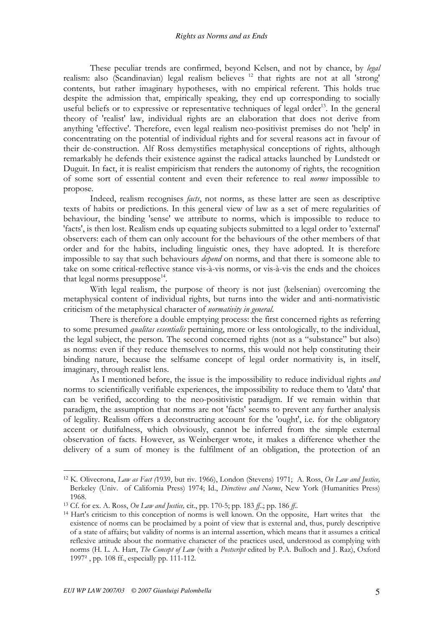These peculiar trends are confirmed, beyond Kelsen, and not by chance, by legal realism: also (Scandinavian) legal realism believes<sup>12</sup> that rights are not at all 'strong' contents, but rather imaginary hypotheses, with no empirical referent. This holds true despite the admission that, empirically speaking, they end up corresponding to socially useful beliefs or to expressive or representative techniques of legal order<sup>13</sup>. In the general theory of 'realist' law, individual rights are an elaboration that does not derive from anything 'effective'. Therefore, even legal realism neo-positivist premises do not 'help' in concentrating on the potential of individual rights and for several reasons act in favour of their de-construction. Alf Ross demystifies metaphysical conceptions of rights, although remarkably he defends their existence against the radical attacks launched by Lundstedt or Duguit. In fact, it is realist empiricism that renders the autonomy of rights, the recognition of some sort of essential content and even their reference to real norms impossible to propose.

Indeed, realism recognises facts, not norms, as these latter are seen as descriptive texts of habits or predictions. In this general view of law as a set of mere regularities of behaviour, the binding 'sense' we attribute to norms, which is impossible to reduce to 'facts', is then lost. Realism ends up equating subjects submitted to a legal order to 'external' observers: each of them can only account for the behaviours of the other members of that order and for the habits, including linguistic ones, they have adopted. It is therefore impossible to say that such behaviours depend on norms, and that there is someone able to take on some critical-reflective stance vis-à-vis norms, or vis-à-vis the ends and the choices that legal norms presuppose<sup>14</sup>.

With legal realism, the purpose of theory is not just (kelsenian) overcoming the metaphysical content of individual rights, but turns into the wider and anti-normativistic criticism of the metaphysical character of normativity in general.

There is therefore a double emptying process: the first concerned rights as referring to some presumed *qualitas essentialis* pertaining, more or less ontologically, to the individual, the legal subject, the person. The second concerned rights (not as a "substance" but also) as norms: even if they reduce themselves to norms, this would not help constituting their binding nature, because the selfsame concept of legal order normativity is, in itself, imaginary, through realist lens.

As I mentioned before, the issue is the impossibility to reduce individual rights and norms to scientifically verifiable experiences, the impossibility to reduce them to 'data' that can be verified, according to the neo-positivistic paradigm. If we remain within that paradigm, the assumption that norms are not 'facts' seems to prevent any further analysis of legality. Realism offers a deconstructing account for the 'ought', i.e. for the obligatory accent or dutifulness, which obviously, cannot be inferred from the simple external observation of facts. However, as Weinberger wrote, it makes a difference whether the delivery of a sum of money is the fulfilment of an obligation, the protection of an

<sup>&</sup>lt;sup>12</sup> K. Olivecrona, *Law as Fact* (1939, but riv. 1966), London (Stevens) 1971; A. Ross, On Law and Justice, Berkeley (Univ. of California Press) 1974; Id., Directives and Norms, New York (Humanities Press) 1968.

<sup>&</sup>lt;sup>13</sup> Cf. for ex. A. Ross, *On Law and Justice*, cit., pp. 170-5; pp. 183 ff..; pp. 186 ff..

<sup>&</sup>lt;sup>14</sup> Hart's criticism to this conception of norms is well known. On the opposite, Hart writes that the existence of norms can be proclaimed by a point of view that is external and, thus, purely descriptive of a state of affairs; but validity of norms is an internal assertion, which means that it assumes a critical reflexive attitude about the normative character of the practices used, understood as complying with norms (H. L. A. Hart, The Concept of Law (with a Postscript edited by P.A. Bulloch and J. Raz), Oxford 1997² , pp. 108 ff., especially pp. 111-112.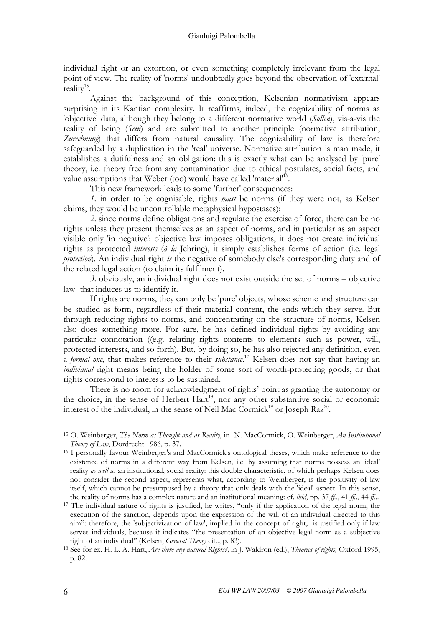individual right or an extortion, or even something completely irrelevant from the legal point of view. The reality of 'norms' undoubtedly goes beyond the observation of 'external' reality<sup>15</sup>.

Against the background of this conception, Kelsenian normativism appears surprising in its Kantian complexity. It reaffirms, indeed, the cognizability of norms as 'objective' data, although they belong to a different normative world (Sollen), vis-à-vis the reality of being (Sein) and are submitted to another principle (normative attribution, Zurechnung) that differs from natural causality. The cognizability of law is therefore safeguarded by a duplication in the 'real' universe. Normative attribution is man made, it establishes a dutifulness and an obligation: this is exactly what can be analysed by 'pure' theory, i.e. theory free from any contamination due to ethical postulates, social facts, and value assumptions that Weber (too) would have called 'material<sup>116</sup>.

This new framework leads to some 'further' consequences:

1. in order to be cognisable, rights must be norms (if they were not, as Kelsen claims, they would be uncontrollable metaphysical hypostases);

2. since norms define obligations and regulate the exercise of force, there can be no rights unless they present themselves as an aspect of norms, and in particular as an aspect visible only 'in negative': objective law imposes obligations, it does not create individual rights as protected interests (à la Jehring), it simply establishes forms of action (i.e. legal protection). An individual right is the negative of somebody else's corresponding duty and of the related legal action (to claim its fulfilment).

3. obviously, an individual right does not exist outside the set of norms – objective law- that induces us to identify it.

If rights are norms, they can only be 'pure' objects, whose scheme and structure can be studied as form, regardless of their material content, the ends which they serve. But through reducing rights to norms, and concentrating on the structure of norms, Kelsen also does something more. For sure, he has defined individual rights by avoiding any particular connotation ((e.g. relating rights contents to elements such as power, will, protected interests, and so forth). But, by doing so, he has also rejected any definition, even a formal one, that makes reference to their substance.<sup>17</sup> Kelsen does not say that having an *individual* right means being the holder of some sort of worth-protecting goods, or that rights correspond to interests to be sustained.

There is no room for acknowledgment of rights' point as granting the autonomy or the choice, in the sense of Herbert Hart<sup>18</sup>, nor any other substantive social or economic interest of the individual, in the sense of Neil Mac Cormick<sup>19</sup> or Joseph Raz<sup>20</sup>.

<sup>15</sup> O. Weinberger, The Norm as Thought and as Reality, in N. MacCormick, O. Weinberger, An Institutional Theory of Law, Dordrecht 1986, p. 37.

<sup>16</sup> I personally favour Weinberger's and MacCormick's ontological theses, which make reference to the existence of norms in a different way from Kelsen, i.e. by assuming that norms possess an 'ideal' reality as well as an institutional, social reality: this double characteristic, of which perhaps Kelsen does not consider the second aspect, represents what, according to Weinberger, is the positivity of law itself, which cannot be presupposed by a theory that only deals with the 'ideal' aspect. In this sense, the reality of norms has a complex nature and an institutional meaning: cf. *ibid*, pp. 37 ff.., 41 ff.., 44 ff...

<sup>&</sup>lt;sup>17</sup> The individual nature of rights is justified, he writes, "only if the application of the legal norm, the execution of the sanction, depends upon the expression of the will of an individual directed to this aim": therefore, the 'subjectivization of law', implied in the concept of right, is justified only if law serves individuals, because it indicates "the presentation of an objective legal norm as a subjective right of an individual" (Kelsen, General Theory cit.., p. 83).

<sup>&</sup>lt;sup>18</sup> See for ex. H. L. A. Hart, *Are there any natural Rights?*, in J. Waldron (ed.), *Theories of rights*, Oxford 1995, p. 82.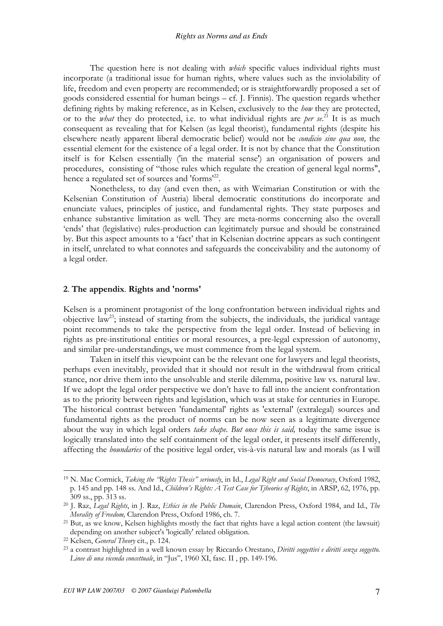The question here is not dealing with *which* specific values individual rights must incorporate (a traditional issue for human rights, where values such as the inviolability of life, freedom and even property are recommended; or is straightforwardly proposed a set of goods considered essential for human beings  $-$  cf. J. Finnis). The question regards whether defining rights by making reference, as in Kelsen, exclusively to the *how* they are protected, or to the *what* they do protected, i.e. to what individual rights are *per se.*<sup>21</sup> It is as much consequent as revealing that for Kelsen (as legal theorist), fundamental rights (despite his elsewhere neatly apparent liberal democratic belief) would not be *condicio sine qua non*, the essential element for the existence of a legal order. It is not by chance that the Constitution itself is for Kelsen essentially ('in the material sense') an organisation of powers and procedures, consisting of "those rules which regulate the creation of general legal norms", hence a regulated set of sources and 'forms<sup>122</sup>.

Nonetheless, to day (and even then, as with Weimarian Constitution or with the Kelsenian Constitution of Austria) liberal democratic constitutions do incorporate and enunciate values, principles of justice, and fundamental rights. They state purposes and enhance substantive limitation as well. They are meta-norms concerning also the overall 'ends' that (legislative) rules-production can legitimately pursue and should be constrained by. But this aspect amounts to a 'fact' that in Kelsenian doctrine appears as such contingent in itself, unrelated to what connotes and safeguards the conceivability and the autonomy of a legal order.

#### 2. The appendix. Rights and 'norms'

Kelsen is a prominent protagonist of the long confrontation between individual rights and objective law<sup>23</sup>; instead of starting from the subjects, the individuals, the juridical vantage point recommends to take the perspective from the legal order. Instead of believing in rights as pre-institutional entities or moral resources, a pre-legal expression of autonomy, and similar pre-understandings, we must commence from the legal system.

Taken in itself this viewpoint can be the relevant one for lawyers and legal theorists, perhaps even inevitably, provided that it should not result in the withdrawal from critical stance, nor drive them into the unsolvable and sterile dilemma, positive law vs. natural law. If we adopt the legal order perspective we don't have to fall into the ancient confrontation as to the priority between rights and legislation, which was at stake for centuries in Europe. The historical contrast between 'fundamental' rights as 'external' (extralegal) sources and fundamental rights as the product of norms can be now seen as a legitimate divergence about the way in which legal orders *take shape. But once this is said*, today the same issue is logically translated into the self containment of the legal order, it presents itself differently, affecting the boundaries of the positive legal order, vis-à-vis natural law and morals (as I will

<u>.</u>

<sup>&</sup>lt;sup>19</sup> N. Mac Cormick, Taking the "Rights Thesis" seriously, in Id., Legal Right and Social Democracy, Oxford 1982, p. 145 and pp. 148 ss. And Id., Children's Rights: A Test Case for Tjheories of Rights, in ARSP, 62, 1976, pp. 309 ss., pp. 313 ss.

<sup>&</sup>lt;sup>20</sup> J. Raz, Legal Rights, in J. Raz, Ethics in the Public Domain, Clarendon Press, Oxford 1984, and Id., The Morality of Freedom, Clarendon Press, Oxford 1986, ch. 7.

<sup>21</sup> But, as we know, Kelsen highlights mostly the fact that rights have a legal action content (the lawsuit) depending on another subject's 'logically' related obligation.

<sup>22</sup> Kelsen, General Theory cit., p. 124.

<sup>&</sup>lt;sup>23</sup> a contrast highlighted in a well known essay by Riccardo Orestano, Diritti soggettivi e diritti senza soggetto. Linee di una vicenda concettuale, in "Jus", 1960 XI, fasc. II, pp. 149-196.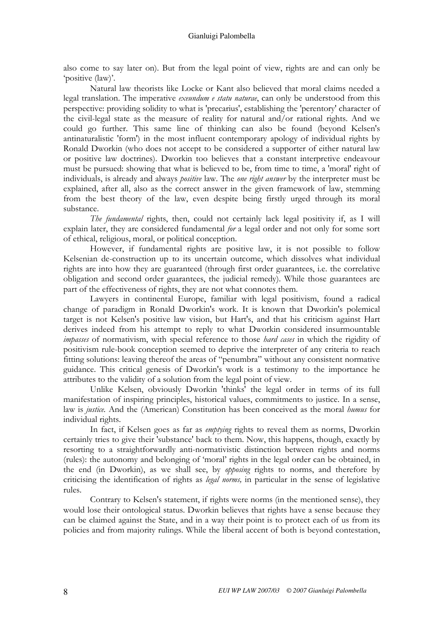also come to say later on). But from the legal point of view, rights are and can only be 'positive (law)'.

Natural law theorists like Locke or Kant also believed that moral claims needed a legal translation. The imperative *exeundum e statu naturae*, can only be understood from this perspective: providing solidity to what is 'precarius', establishing the 'perentory' character of the civil-legal state as the measure of reality for natural and/or rational rights. And we could go further. This same line of thinking can also be found (beyond Kelsen's antinaturalistic 'form') in the most influent contemporary apology of individual rights by Ronald Dworkin (who does not accept to be considered a supporter of either natural law or positive law doctrines). Dworkin too believes that a constant interpretive endeavour must be pursued: showing that what is believed to be, from time to time, a 'moral' right of individuals, is already and always *positive* law. The *one right answer* by the interpreter must be explained, after all, also as the correct answer in the given framework of law, stemming from the best theory of the law, even despite being firstly urged through its moral substance.

The fundamental rights, then, could not certainly lack legal positivity if, as I will explain later, they are considered fundamental for a legal order and not only for some sort of ethical, religious, moral, or political conception.

However, if fundamental rights are positive law, it is not possible to follow Kelsenian de-construction up to its uncertain outcome, which dissolves what individual rights are into how they are guaranteed (through first order guarantees, i.e. the correlative obligation and second order guarantees, the judicial remedy). While those guarantees are part of the effectiveness of rights, they are not what connotes them.

Lawyers in continental Europe, familiar with legal positivism, found a radical change of paradigm in Ronald Dworkin's work. It is known that Dworkin's polemical target is not Kelsen's positive law vision, but Hart's, and that his criticism against Hart derives indeed from his attempt to reply to what Dworkin considered insurmountable impasses of normativism, with special reference to those *hard cases* in which the rigidity of positivism rule-book conception seemed to deprive the interpreter of any criteria to reach fitting solutions: leaving thereof the areas of "penumbra" without any consistent normative guidance. This critical genesis of Dworkin's work is a testimony to the importance he attributes to the validity of a solution from the legal point of view.

Unlike Kelsen, obviously Dworkin 'thinks' the legal order in terms of its full manifestation of inspiring principles, historical values, commitments to justice. In a sense, law is *justice*. And the (American) Constitution has been conceived as the moral *humus* for individual rights.

In fact, if Kelsen goes as far as *emptying* rights to reveal them as norms, Dworkin certainly tries to give their 'substance' back to them. Now, this happens, though, exactly by resorting to a straightforwardly anti-normativistic distinction between rights and norms (rules): the autonomy and belonging of 'moral' rights in the legal order can be obtained, in the end (in Dworkin), as we shall see, by opposing rights to norms, and therefore by criticising the identification of rights as legal norms, in particular in the sense of legislative rules.

Contrary to Kelsen's statement, if rights were norms (in the mentioned sense), they would lose their ontological status. Dworkin believes that rights have a sense because they can be claimed against the State, and in a way their point is to protect each of us from its policies and from majority rulings. While the liberal accent of both is beyond contestation,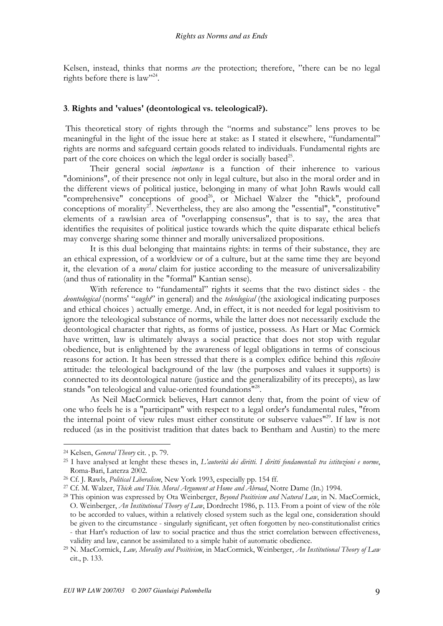Kelsen, instead, thinks that norms *are* the protection; therefore, "there can be no legal rights before there is law"<sup>24</sup>.

#### 3. Rights and 'values' (deontological vs. teleological?).

 This theoretical story of rights through the "norms and substance" lens proves to be meaningful in the light of the issue here at stake: as I stated it elsewhere, "fundamental" rights are norms and safeguard certain goods related to individuals. Fundamental rights are part of the core choices on which the legal order is socially based<sup>25</sup>.

Their general social *importance* is a function of their inherence to various "dominions", of their presence not only in legal culture, but also in the moral order and in the different views of political justice, belonging in many of what John Rawls would call "comprehensive" conceptions of good<sup>26</sup>, or Michael Walzer the "thick", profound conceptions of morality<sup>27</sup>. Nevertheless, they are also among the "essential", "constitutive" elements of a rawlsian area of "overlapping consensus", that is to say, the area that identifies the requisites of political justice towards which the quite disparate ethical beliefs may converge sharing some thinner and morally universalized propositions.

It is this dual belonging that maintains rights: in terms of their substance, they are an ethical expression, of a worldview or of a culture, but at the same time they are beyond it, the elevation of a *moral* claim for justice according to the measure of universalizability (and thus of rationality in the "formal" Kantian sense).

With reference to "fundamental" rights it seems that the two distinct sides - the deontological (norms' "ought" in general) and the *teleological* (the axiological indicating purposes and ethical choices ) actually emerge. And, in effect, it is not needed for legal positivism to ignore the teleological substance of norms, while the latter does not necessarily exclude the deontological character that rights, as forms of justice, possess. As Hart or Mac Cormick have written, law is ultimately always a social practice that does not stop with regular obedience, but is enlightened by the awareness of legal obligations in terms of conscious reasons for action. It has been stressed that there is a complex edifice behind this reflexive attitude: the teleological background of the law (the purposes and values it supports) is connected to its deontological nature (justice and the generalizability of its precepts), as law stands "on teleological and value-oriented foundations"<sup>28</sup>.

As Neil MacCormick believes, Hart cannot deny that, from the point of view of one who feels he is a "participant" with respect to a legal order's fundamental rules, "from the internal point of view rules must either constitute or subserve values<sup>"29</sup>. If law is not reduced (as in the positivist tradition that dates back to Bentham and Austin) to the mere

<sup>24</sup> Kelsen, General Theory cit. , p. 79.

<sup>25</sup> I have analysed at lenght these theses in, L'autorità dei diritti. I diritti fondamentali tra istituzioni e norme, Roma-Bari, Laterza 2002.

<sup>26</sup> Cf. J. Rawls, Political Liberalism, New York 1993, especially pp. 154 ff.

<sup>&</sup>lt;sup>27</sup> Cf. M. Walzer, *Thick and Thin. Moral Argument at Home and Abroad*, Notre Dame (In.) 1994.

<sup>&</sup>lt;sup>28</sup> This opinion was expressed by Ota Weinberger, *Beyond Positivism and Natural Law*, in N. MacCormick, O. Weinberger, An Institutional Theory of Law, Dordrecht 1986, p. 113. From a point of view of the rôle to be accorded to values, within a relatively closed system such as the legal one, consideration should be given to the circumstance - singularly significant, yet often forgotten by neo-constitutionalist critics - that Hart's reduction of law to social practice and thus the strict correlation between effectiveness, validity and law, cannot be assimilated to a simple habit of automatic obedience.

<sup>&</sup>lt;sup>29</sup> N. MacCormick, Law, Morality and Positivism, in MacCormick, Weinberger, An Institutional Theory of Law cit., p. 133.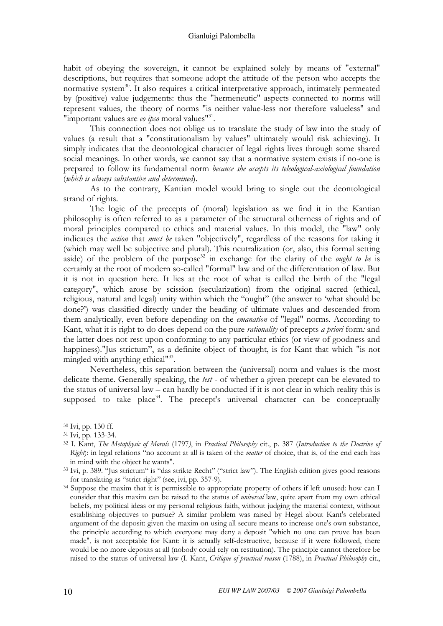habit of obeying the sovereign, it cannot be explained solely by means of "external" descriptions, but requires that someone adopt the attitude of the person who accepts the normative system<sup>30</sup>. It also requires a critical interpretative approach, intimately permeated by (positive) value judgements: thus the "hermeneutic" aspects connected to norms will represent values, the theory of norms "is neither value-less nor therefore valueless" and "important values are eo ipso moral values"<sup>31</sup>.

This connection does not oblige us to translate the study of law into the study of values (a result that a "constitutionalism by values" ultimately would risk achieving). It simply indicates that the deontological character of legal rights lives through some shared social meanings. In other words, we cannot say that a normative system exists if no-one is prepared to follow its fundamental norm because she accepts its teleological-axiological foundation (which is always substantive and determined).

As to the contrary, Kantian model would bring to single out the deontological strand of rights.

The logic of the precepts of (moral) legislation as we find it in the Kantian philosophy is often referred to as a parameter of the structural otherness of rights and of moral principles compared to ethics and material values. In this model, the "law" only indicates the *action* that *must be* taken "objectively", regardless of the reasons for taking it (which may well be subjective and plural). This neutralization (or, also, this formal setting aside) of the problem of the purpose<sup>32'</sup> in exchange for the clarity of the *ought to be* is certainly at the root of modern so-called "formal" law and of the differentiation of law. But it is not in question here. It lies at the root of what is called the birth of the "legal category", which arose by scission (secularization) from the original sacred (ethical, religious, natural and legal) unity within which the "ought" (the answer to 'what should be done?') was classified directly under the heading of ultimate values and descended from them analytically, even before depending on the *emanation* of "legal" norms. According to Kant, what it is right to do does depend on the pure *rationality* of precepts *a priori* form: and the latter does not rest upon conforming to any particular ethics (or view of goodness and happiness)."Jus strictum", as a definite object of thought, is for Kant that which "is not mingled with anything ethical<sup>133</sup>.

Nevertheless, this separation between the (universal) norm and values is the most delicate theme. Generally speaking, the *test* - of whether a given precept can be elevated to the status of universal law – can hardly be conducted if it is not clear in which reality this is supposed to take place<sup>34</sup>. The precept's universal character can be conceptually

<sup>30</sup> Ivi, pp. 130 ff.

<sup>31</sup> Ivi, pp. 133-34.

<sup>&</sup>lt;sup>32</sup> I. Kant, The Metaphysic of Morals (1797), in Practical Philosophy cit., p. 387 (Introduction to the Doctrine of  $Right$ : in legal relations "no account at all is taken of the *matter* of choice, that is, of the end each has in mind with the object he wants".

<sup>33</sup> Ivi, p. 389. "Jus strictum" is "das strikte Recht" ("strict law"). The English edition gives good reasons for translating as "strict right" (see, ivi, pp. 357-9).

<sup>&</sup>lt;sup>34</sup> Suppose the maxim that it is permissible to appropriate property of others if left unused: how can I consider that this maxim can be raised to the status of *universal* law, quite apart from my own ethical beliefs, my political ideas or my personal religious faith, without judging the material context, without establishing objectives to pursue? A similar problem was raised by Hegel about Kant's celebrated argument of the deposit: given the maxim on using all secure means to increase one's own substance, the principle according to which everyone may deny a deposit "which no one can prove has been made", is not acceptable for Kant: it is actually self-destructive, because if it were followed, there would be no more deposits at all (nobody could rely on restitution). The principle cannot therefore be raised to the status of universal law (I. Kant, Critique of practical reason (1788), in Practical Philosophy cit.,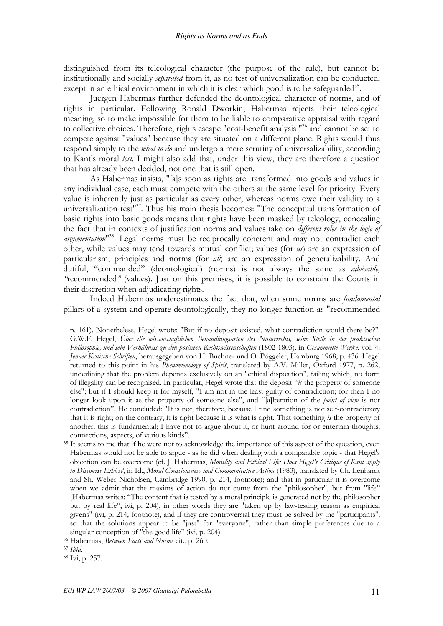distinguished from its teleological character (the purpose of the rule), but cannot be institutionally and socially separated from it, as no test of universalization can be conducted, except in an ethical environment in which it is clear which good is to be safeguarded<sup>35</sup>.

Juergen Habermas further defended the deontological character of norms, and of rights in particular. Following Ronald Dworkin, Habermas rejects their teleological meaning, so to make impossible for them to be liable to comparative appraisal with regard to collective choices. Therefore, rights escape "cost-benefit analysis "<sup>36</sup> and cannot be set to compete against "values" because they are situated on a different plane. Rights would thus respond simply to the *what to do* and undergo a mere scrutiny of universalizability, according to Kant's moral test. I might also add that, under this view, they are therefore a question that has already been decided, not one that is still open.

As Habermas insists, "[a]s soon as rights are transformed into goods and values in any individual case, each must compete with the others at the same level for priority. Every value is inherently just as particular as every other, whereas norms owe their validity to a universalization test"<sup>37</sup>. Thus his main thesis becomes: "The conceptual transformation of basic rights into basic goods means that rights have been masked by teleology, concealing the fact that in contexts of justification norms and values take on different roles in the logic of argumentation<sup>138</sup>. Legal norms must be reciprocally coherent and may not contradict each other, while values may tend towards mutual conflict; values (for us) are an expression of particularism, principles and norms (for *all*) are an expression of generalizability. And dutiful, "commanded" (deontological) (norms) is not always the same as *advisable*, "recommended" (values). Just on this premises, it is possible to constrain the Courts in their discretion when adjudicating rights.

Indeed Habermas underestimates the fact that, when some norms are fundamental pillars of a system and operate deontologically, they no longer function as "recommended

-

p. 161). Nonetheless, Hegel wrote: "But if no deposit existed, what contradiction would there be?". G.W.F. Hegel, Über die wissenschaftlichen Behandlungsarten des Naturrechts, seine Stelle in der praktischen Philosophie, und sein Verhältniss zu den positiven Rechtswissenschaften (1802-1803), in Gesammelte Werke, vol. 4: Jenaer Kritische Schriften, herausgegeben von H. Buchner und O. Pöggeler, Hamburg 1968, p. 436. Hegel returned to this point in his *Phenomenology of Spirit*, translated by A.V. Miller, Oxford 1977, p. 262, underlining that the problem depends exclusively on an "ethical disposition", failing which, no form of illegality can be recognised. In particular, Hegel wrote that the deposit "is the property of someone else"; but if I should keep it for myself, "I am not in the least guilty of contradiction; for then I no longer look upon it as the property of someone else", and "[a]lteration of the *point of view* is not contradiction". He concluded: "It is not, therefore, because I find something is not self-contradictory that it is right; on the contrary, it is right because it is what is right. That something is the property of another, this is fundamental; I have not to argue about it, or hunt around for or entertain thoughts, connections, aspects, of various kinds".

<sup>&</sup>lt;sup>35</sup> It seems to me that if he were not to acknowledge the importance of this aspect of the question, even Habermas would not be able to argue - as he did when dealing with a comparable topic - that Hegel's objection can be overcome (cf. J. Habermas, Morality and Ethical Life: Does Hegel's Critique of Kant apply to Discourse Ethics?, in Id., Moral Consciousness and Communicative Action (1983), translated by Ch. Lenhardt and Sh. Weber Nicholsen, Cambridge 1990, p. 214, footnote); and that in particular it is overcome when we admit that the maxims of action do not come from the "philosopher", but from "life" (Habermas writes: "The content that is tested by a moral principle is generated not by the philosopher but by real life", ivi, p. 204), in other words they are "taken up by law-testing reason as empirical givens" (ivi, p. 214, footnote), and if they are controversial they must be solved by the "participants", so that the solutions appear to be "just" for "everyone", rather than simple preferences due to a singular conception of "the good life" (ivi, p. 204).

<sup>&</sup>lt;sup>36</sup> Habermas, Between Facts and Norms cit., p. 260.

<sup>37</sup> Ibid.

<sup>38</sup> Ivi, p. 257.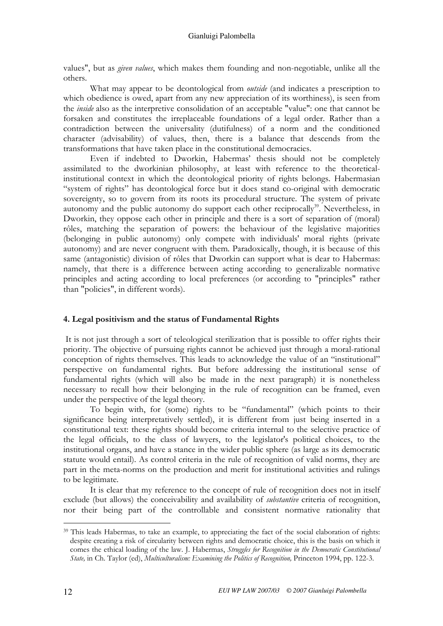values", but as given values, which makes them founding and non-negotiable, unlike all the others.

What may appear to be deontological from *outside* (and indicates a prescription to which obedience is owed, apart from any new appreciation of its worthiness), is seen from the *inside* also as the interpretive consolidation of an acceptable "value": one that cannot be forsaken and constitutes the irreplaceable foundations of a legal order. Rather than a contradiction between the universality (dutifulness) of a norm and the conditioned character (advisability) of values, then, there is a balance that descends from the transformations that have taken place in the constitutional democracies.

Even if indebted to Dworkin, Habermas' thesis should not be completely assimilated to the dworkinian philosophy, at least with reference to the theoreticalinstitutional context in which the deontological priority of rights belongs. Habermasian "system of rights" has deontological force but it does stand co-original with democratic sovereignty, so to govern from its roots its procedural structure. The system of private autonomy and the public autonomy do support each other reciprocally<sup>39</sup>. Nevertheless, in Dworkin, they oppose each other in principle and there is a sort of separation of (moral) rôles, matching the separation of powers: the behaviour of the legislative majorities (belonging in public autonomy) only compete with individuals' moral rights (private autonomy) and are never congruent with them. Paradoxically, though, it is because of this same (antagonistic) division of rôles that Dworkin can support what is dear to Habermas: namely, that there is a difference between acting according to generalizable normative principles and acting according to local preferences (or according to "principles" rather than "policies", in different words).

# 4. Legal positivism and the status of Fundamental Rights

 It is not just through a sort of teleological sterilization that is possible to offer rights their priority. The objective of pursuing rights cannot be achieved just through a moral-rational conception of rights themselves. This leads to acknowledge the value of an "institutional" perspective on fundamental rights. But before addressing the institutional sense of fundamental rights (which will also be made in the next paragraph) it is nonetheless necessary to recall how their belonging in the rule of recognition can be framed, even under the perspective of the legal theory.

To begin with, for (some) rights to be "fundamental" (which points to their significance being interpretatively settled), it is different from just being inserted in a constitutional text: these rights should become criteria internal to the selective practice of the legal officials, to the class of lawyers, to the legislator's political choices, to the institutional organs, and have a stance in the wider public sphere (as large as its democratic statute would entail). As control criteria in the rule of recognition of valid norms, they are part in the meta-norms on the production and merit for institutional activities and rulings to be legitimate.

It is clear that my reference to the concept of rule of recognition does not in itself exclude (but allows) the conceivability and availability of *substantive* criteria of recognition, nor their being part of the controllable and consistent normative rationality that

<sup>&</sup>lt;sup>39</sup> This leads Habermas, to take an example, to appreciating the fact of the social elaboration of rights: despite creating a risk of circularity between rights and democratic choice, this is the basis on which it comes the ethical loading of the law. J. Habermas, *Struggles for Recognition in the Democratic Constitutional* State, in Ch. Taylor (ed), Multiculturalism: Examining the Politics of Recognition, Princeton 1994, pp. 122-3.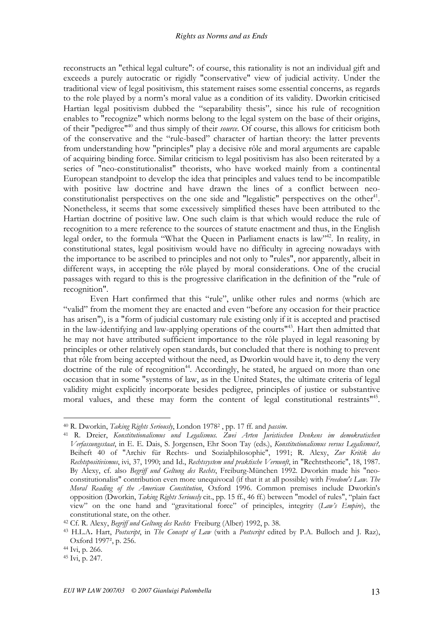reconstructs an "ethical legal culture": of course, this rationality is not an individual gift and exceeds a purely autocratic or rigidly "conservative" view of judicial activity. Under the traditional view of legal positivism, this statement raises some essential concerns, as regards to the role played by a norm's moral value as a condition of its validity. Dworkin criticised Hartian legal positivism dubbed the "separability thesis", since his rule of recognition enables to "recognize" which norms belong to the legal system on the base of their origins, of their "pedigree"<sup>40</sup> and thus simply of their *source*. Of course, this allows for criticism both of the conservative and the "rule-based" character of hartian theory: the latter prevents from understanding how "principles" play a decisive rôle and moral arguments are capable of acquiring binding force. Similar criticism to legal positivism has also been reiterated by a series of "neo-constitutionalist" theorists, who have worked mainly from a continental European standpoint to develop the idea that principles and values tend to be incompatible with positive law doctrine and have drawn the lines of a conflict between neoconstitutionalist perspectives on the one side and "legalistic" perspectives on the other<sup>41</sup>. Nonetheless, it seems that some excessively simplified theses have been attributed to the Hartian doctrine of positive law. One such claim is that which would reduce the rule of recognition to a mere reference to the sources of statute enactment and thus, in the English legal order, to the formula "What the Queen in Parliament enacts is law"<sup>42</sup>. In reality, in constitutional states, legal positivism would have no difficulty in agreeing nowadays with the importance to be ascribed to principles and not only to "rules", nor apparently, albeit in different ways, in accepting the rôle played by moral considerations. One of the crucial passages with regard to this is the progressive clarification in the definition of the "rule of recognition".

Even Hart confirmed that this "rule", unlike other rules and norms (which are "valid" from the moment they are enacted and even "before any occasion for their practice has arisen"), is a "form of judicial customary rule existing only if it is accepted and practised in the law-identifying and law-applying operations of the courts<sup>"43</sup>. Hart then admitted that he may not have attributed sufficient importance to the rôle played in legal reasoning by principles or other relatively open standards, but concluded that there is nothing to prevent that rôle from being accepted without the need, as Dworkin would have it, to deny the very doctrine of the rule of recognition<sup>44</sup>. Accordingly, he stated, he argued on more than one occasion that in some "systems of law, as in the United States, the ultimate criteria of legal validity might explicitly incorporate besides pedigree, principles of justice or substantive moral values, and these may form the content of legal constitutional restraints<sup>"45</sup>.

<sup>&</sup>lt;sup>40</sup> R. Dworkin, *Taking Rights Seriously*, London 1978<sup>2</sup>, pp. 17 ff. and *passim*.

<sup>41</sup> R. Dreier, Konstitutionalismus und Legalismus. Zwei Arten Juristischen Denkens im demokratischen Verfassungsstaat, in E. E. Dais, S. Jorgensen, Ehr Soon Tay (eds.), Konstitutionalismus versus Legalismus?, Beiheft 40 of "Archiv für Rechts- und Sozialphilosophie", 1991; R. Alexy, Zur Kritik des Rechtspositivismus, ivi, 37, 1990; and Id., Rechtssystem und praktische Vernunft, in "Rechtstheorie", 18, 1987. By Alexy, cf. also Begriff und Geltung des Rechts, Freiburg-München 1992. Dworkin made his "neoconstitutionalist" contribution even more unequivocal (if that it at all possible) with Freedom's Law. The Moral Reading of the American Constitution, Oxford 1996. Common premises include Dworkin's opposition (Dworkin, Taking Rights Seriously cit., pp. 15 ff., 46 ff.) between "model of rules", "plain fact view" on the one hand and "gravitational force" of principles, integrity (Law's Empire), the constitutional state, on the other.

<sup>&</sup>lt;sup>42</sup> Cf. R. Alexy, Begriff und Geltung des Rechts Freiburg (Alber) 1992, p. 38.

<sup>&</sup>lt;sup>43</sup> H.L.A. Hart, *Postscript*, in *The Concept of Law* (with a *Postscript* edited by P.A. Bulloch and J. Raz), Oxford 1997², p. 256.

<sup>44</sup> Ivi, p. 266.

<sup>45</sup> Ivi, p. 247.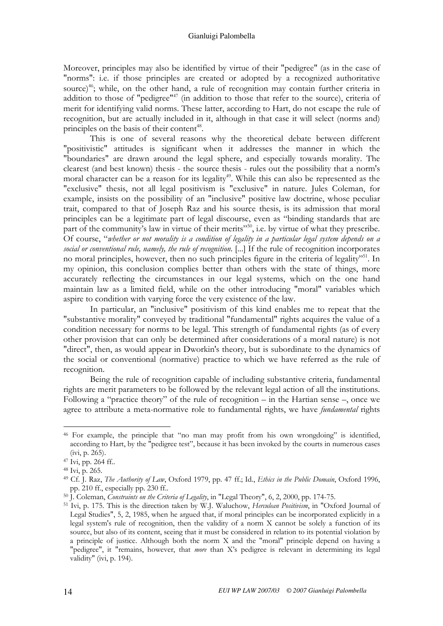Moreover, principles may also be identified by virtue of their "pedigree" (as in the case of "norms": i.e. if those principles are created or adopted by a recognized authoritative source)<sup>46</sup>; while, on the other hand, a rule of recognition may contain further criteria in addition to those of "pedigree"<sup>47</sup> (in addition to those that refer to the source), criteria of merit for identifying valid norms. These latter, according to Hart, do not escape the rule of recognition, but are actually included in it, although in that case it will select (norms and) principles on the basis of their content<sup>48</sup>.

This is one of several reasons why the theoretical debate between different "positivistic" attitudes is significant when it addresses the manner in which the "boundaries" are drawn around the legal sphere, and especially towards morality. The clearest (and best known) thesis - the source thesis - rules out the possibility that a norm's moral character can be a reason for its legality<sup>49</sup>. While this can also be represented as the "exclusive" thesis, not all legal positivism is "exclusive" in nature. Jules Coleman, for example, insists on the possibility of an "inclusive" positive law doctrine, whose peculiar trait, compared to that of Joseph Raz and his source thesis, is its admission that moral principles can be a legitimate part of legal discourse, even as "binding standards that are part of the community's law in virtue of their merits"<sup>50</sup>, i.e. by virtue of what they prescribe. Of course, "whether or not morality is a condition of legality in a particular legal system depends on a social or conventional rule, namely, the rule of recognition. [...] If the rule of recognition incorporates no moral principles, however, then no such principles figure in the criteria of legality<sup>51</sup>. In my opinion, this conclusion complies better than others with the state of things, more accurately reflecting the circumstances in our legal systems, which on the one hand maintain law as a limited field, while on the other introducing "moral" variables which aspire to condition with varying force the very existence of the law.

In particular, an "inclusive" positivism of this kind enables me to repeat that the "substantive morality" conveyed by traditional "fundamental" rights acquires the value of a condition necessary for norms to be legal. This strength of fundamental rights (as of every other provision that can only be determined after considerations of a moral nature) is not "direct", then, as would appear in Dworkin's theory, but is subordinate to the dynamics of the social or conventional (normative) practice to which we have referred as the rule of recognition.

Being the rule of recognition capable of including substantive criteria, fundamental rights are merit parameters to be followed by the relevant legal action of all the institutions. Following a "practice theory" of the rule of recognition – in the Hartian sense –, once we agree to attribute a meta-normative role to fundamental rights, we have *fundamental* rights

<sup>46</sup> For example, the principle that "no man may profit from his own wrongdoing" is identified, according to Hart, by the "pedigree test", because it has been invoked by the courts in numerous cases (ivi, p. 265).

<sup>47</sup> Ivi, pp. 264 ff..

<sup>48</sup> Ivi, p. 265.

<sup>&</sup>lt;sup>49</sup> Cf. J. Raz, The Authority of Law, Oxford 1979, pp. 47 ff.; Id., Ethics in the Public Domain, Oxford 1996, pp. 210 ff., especially pp. 230 ff..

 $50$  J. Coleman, *Constraints on the Criteria of Legality*, in "Legal Theory", 6, 2, 2000, pp. 174-75.

<sup>51</sup> Ivi, p. 175. This is the direction taken by W.J. Waluchow, Herculean Positivism, in "Oxford Journal of Legal Studies", 5, 2, 1985, when he argued that, if moral principles can be incorporated explicitly in a legal system's rule of recognition, then the validity of a norm X cannot be solely a function of its source, but also of its content, seeing that it must be considered in relation to its potential violation by a principle of justice. Although both the norm X and the "moral" principle depend on having a "pedigree", it "remains, however, that *more* than X's pedigree is relevant in determining its legal validity" (ivi, p. 194).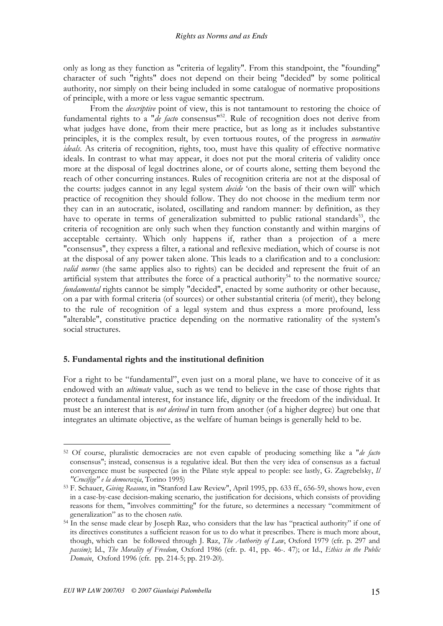only as long as they function as "criteria of legality". From this standpoint, the "founding" character of such "rights" does not depend on their being "decided" by some political authority, nor simply on their being included in some catalogue of normative propositions of principle, with a more or less vague semantic spectrum.

From the *descriptive* point of view, this is not tantamount to restoring the choice of fundamental rights to a "de facto consensus"<sup>52</sup>. Rule of recognition does not derive from what judges have done, from their mere practice, but as long as it includes substantive principles, it is the complex result, by even tortuous routes, of the progress in normative ideals. As criteria of recognition, rights, too, must have this quality of effective normative ideals. In contrast to what may appear, it does not put the moral criteria of validity once more at the disposal of legal doctrines alone, or of courts alone, setting them beyond the reach of other concurring instances. Rules of recognition criteria are not at the disposal of the courts: judges cannot in any legal system *decide* 'on the basis of their own will' which practice of recognition they should follow. They do not choose in the medium term nor they can in an autocratic, isolated, oscillating and random manner: by definition, as they have to operate in terms of generalization submitted to public rational standards<sup>53</sup>, the criteria of recognition are only such when they function constantly and within margins of acceptable certainty. Which only happens if, rather than a projection of a mere "consensus", they express a filter, a rational and reflexive mediation, which of course is not at the disposal of any power taken alone. This leads to a clarification and to a conclusion: valid norms (the same applies also to rights) can be decided and represent the fruit of an artificial system that attributes the force of a practical authority<sup>54</sup> to the normative source; fundamental rights cannot be simply "decided", enacted by some authority or other because, on a par with formal criteria (of sources) or other substantial criteria (of merit), they belong to the rule of recognition of a legal system and thus express a more profound, less "alterable", constitutive practice depending on the normative rationality of the system's social structures.

#### 5. Fundamental rights and the institutional definition

For a right to be "fundamental", even just on a moral plane, we have to conceive of it as endowed with an *ultimate* value, such as we tend to believe in the case of those rights that protect a fundamental interest, for instance life, dignity or the freedom of the individual. It must be an interest that is not derived in turn from another (of a higher degree) but one that integrates an ultimate objective, as the welfare of human beings is generally held to be.

<sup>52</sup> Of course, pluralistic democracies are not even capable of producing something like a "de facto consensus"; instead, consensus is a regulative ideal. But then the very idea of consensus as a factual convergence must be suspected (as in the Pilate style appeal to people: see lastly, G. Zagrebelsky, Il "Crucifige" e la democrazia, Torino 1995)

<sup>53</sup> F. Schauer, Giving Reasons, in "Stanford Law Review", April 1995, pp. 633 ff., 656-59, shows how, even in a case-by-case decision-making scenario, the justification for decisions, which consists of providing reasons for them, "involves committing" for the future, so determines a necessary "commitment of generalization" as to the chosen ratio.

<sup>54</sup> In the sense made clear by Joseph Raz, who considers that the law has "practical authority" if one of its directives constitutes a sufficient reason for us to do what it prescribes. There is much more about, though, which can be followed through J. Raz, The Authority of Law, Oxford 1979 (cfr. p. 297 and passim); Id., The Morality of Freedom, Oxford 1986 (cfr. p. 41, pp. 46-. 47); or Id., Ethics in the Public Domain, Oxford 1996 (cfr. pp. 214-5; pp. 219-20).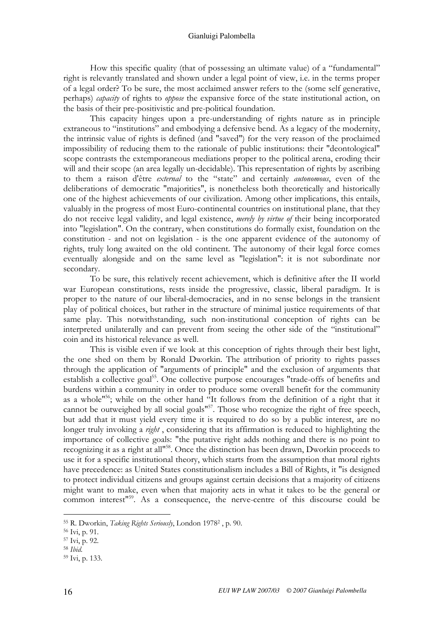#### Gianluigi Palombella

How this specific quality (that of possessing an ultimate value) of a "fundamental" right is relevantly translated and shown under a legal point of view, i.e. in the terms proper of a legal order? To be sure, the most acclaimed answer refers to the (some self generative, perhaps) capacity of rights to oppose the expansive force of the state institutional action, on the basis of their pre-positivistic and pre-political foundation.

This capacity hinges upon a pre-understanding of rights nature as in principle extraneous to "institutions" and embodying a defensive bend. As a legacy of the modernity, the intrinsic value of rights is defined (and "saved") for the very reason of the proclaimed impossibility of reducing them to the rationale of public institutions: their "deontological" scope contrasts the extemporaneous mediations proper to the political arena, eroding their will and their scope (an area legally un-decidable). This representation of rights by ascribing to them a raison d'être external to the "state" and certainly autonomous, even of the deliberations of democratic "majorities", is nonetheless both theoretically and historically one of the highest achievements of our civilization. Among other implications, this entails, valuably in the progress of most Euro-continental countries on institutional plane, that they do not receive legal validity, and legal existence, *merely by virtue of* their being incorporated into "legislation". On the contrary, when constitutions do formally exist, foundation on the constitution - and not on legislation - is the one apparent evidence of the autonomy of rights, truly long awaited on the old continent. The autonomy of their legal force comes eventually alongside and on the same level as "legislation": it is not subordinate nor secondary.

To be sure, this relatively recent achievement, which is definitive after the II world war European constitutions, rests inside the progressive, classic, liberal paradigm. It is proper to the nature of our liberal-democracies, and in no sense belongs in the transient play of political choices, but rather in the structure of minimal justice requirements of that same play. This notwithstanding, such non-institutional conception of rights can be interpreted unilaterally and can prevent from seeing the other side of the "institutional" coin and its historical relevance as well.

This is visible even if we look at this conception of rights through their best light, the one shed on them by Ronald Dworkin. The attribution of priority to rights passes through the application of "arguments of principle" and the exclusion of arguments that establish a collective goal<sup>55</sup>. One collective purpose encourages "trade-offs of benefits and burdens within a community in order to produce some overall benefit for the community as a whole"<sup>56</sup>; while on the other hand "It follows from the definition of a right that it cannot be outweighed by all social goals"<sup>57</sup>. Those who recognize the right of free speech, but add that it must yield every time it is required to do so by a public interest, are no longer truly invoking a *right*, considering that its affirmation is reduced to highlighting the importance of collective goals: "the putative right adds nothing and there is no point to recognizing it as a right at all"<sup>58</sup>. Once the distinction has been drawn, Dworkin proceeds to use it for a specific institutional theory, which starts from the assumption that moral rights have precedence: as United States constitutionalism includes a Bill of Rights, it "is designed to protect individual citizens and groups against certain decisions that a majority of citizens might want to make, even when that majority acts in what it takes to be the general or common interest"<sup>59</sup>. As a consequence, the nerve-centre of this discourse could be

<sup>&</sup>lt;sup>55</sup> R. Dworkin, *Taking Rights Seriously*, London 1978<sup>2</sup>, p. 90.

<sup>56</sup> Ivi, p. 91.

<sup>57</sup> Ivi, p. 92.

<sup>58</sup> Ibid.

<sup>59</sup> Ivi, p. 133.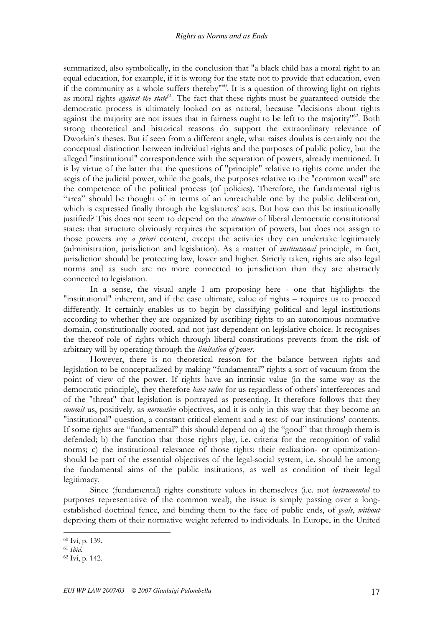summarized, also symbolically, in the conclusion that "a black child has a moral right to an equal education, for example, if it is wrong for the state not to provide that education, even if the community as a whole suffers thereby<sup>"60</sup>. It is a question of throwing light on rights as moral rights *against the state*<sup>61</sup>. The fact that these rights must be guaranteed outside the democratic process is ultimately looked on as natural, because "decisions about rights against the majority are not issues that in fairness ought to be left to the majority<sup>"62</sup>. Both strong theoretical and historical reasons do support the extraordinary relevance of Dworkin's theses. But if seen from a different angle, what raises doubts is certainly not the conceptual distinction between individual rights and the purposes of public policy, but the alleged "institutional" correspondence with the separation of powers, already mentioned. It is by virtue of the latter that the questions of "principle" relative to rights come under the aegis of the judicial power, while the goals, the purposes relative to the "common weal" are the competence of the political process (of policies). Therefore, the fundamental rights "area" should be thought of in terms of an unreachable one by the public deliberation, which is expressed finally through the legislatures' acts. But how can this be institutionally justified? This does not seem to depend on the *structure* of liberal democratic constitutional states: that structure obviously requires the separation of powers, but does not assign to those powers any *a priori* content, except the activities they can undertake legitimately (administration, jurisdiction and legislation). As a matter of institutional principle, in fact, jurisdiction should be protecting law, lower and higher. Strictly taken, rights are also legal norms and as such are no more connected to jurisdiction than they are abstractly connected to legislation.

In a sense, the visual angle I am proposing here - one that highlights the "institutional" inherent, and if the case ultimate, value of rights – requires us to proceed differently. It certainly enables us to begin by classifying political and legal institutions according to whether they are organized by ascribing rights to an autonomous normative domain, constitutionally rooted, and not just dependent on legislative choice. It recognises the thereof role of rights which through liberal constitutions prevents from the risk of arbitrary will by operating through the *limitation of power*.

However, there is no theoretical reason for the balance between rights and legislation to be conceptualized by making "fundamental" rights a sort of vacuum from the point of view of the power. If rights have an intrinsic value (in the same way as the democratic principle), they therefore *have value* for us regardless of others' interferences and of the "threat" that legislation is portrayed as presenting. It therefore follows that they commit us, positively, as normative objectives, and it is only in this way that they become an "institutional" question, a constant critical element and a test of our institutions' contents. If some rights are "fundamental" this should depend on a) the "good" that through them is defended; b) the function that those rights play, i.e. criteria for the recognition of valid norms; c) the institutional relevance of those rights: their realization- or optimizationshould be part of the essential objectives of the legal-social system, i.e. should be among the fundamental aims of the public institutions, as well as condition of their legal legitimacy.

Since (fundamental) rights constitute values in themselves (i.e. not instrumental to purposes representative of the common weal), the issue is simply passing over a longestablished doctrinal fence, and binding them to the face of public ends, of *goals*, *without* depriving them of their normative weight referred to individuals. In Europe, in the United

<sup>60</sup> Ivi, p. 139.

<sup>61</sup> Ibid.

<sup>62</sup> Ivi, p. 142.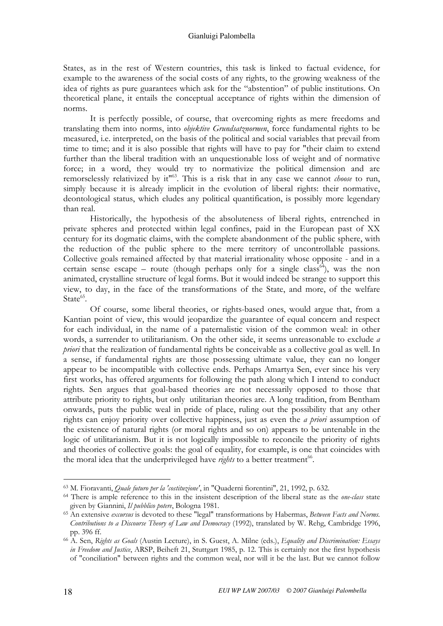States, as in the rest of Western countries, this task is linked to factual evidence, for example to the awareness of the social costs of any rights, to the growing weakness of the idea of rights as pure guarantees which ask for the "abstention" of public institutions. On theoretical plane, it entails the conceptual acceptance of rights within the dimension of norms.

It is perfectly possible, of course, that overcoming rights as mere freedoms and translating them into norms, into *objektive Grundsatznormen*, force fundamental rights to be measured, i.e. interpreted, on the basis of the political and social variables that prevail from time to time; and it is also possible that rights will have to pay for "their claim to extend further than the liberal tradition with an unquestionable loss of weight and of normative force; in a word, they would try to normativize the political dimension and are remorselessly relativized by it<sup>163</sup>. This is a risk that in any case we cannot *choose* to run, simply because it is already implicit in the evolution of liberal rights: their normative, deontological status, which eludes any political quantification, is possibly more legendary than real.

Historically, the hypothesis of the absoluteness of liberal rights, entrenched in private spheres and protected within legal confines, paid in the European past of XX century for its dogmatic claims, with the complete abandonment of the public sphere, with the reduction of the public sphere to the mere territory of uncontrollable passions. Collective goals remained affected by that material irrationality whose opposite - and in a certain sense escape – route (though perhaps only for a single class<sup>64</sup>), was the non animated, crystalline structure of legal forms. But it would indeed be strange to support this view, to day, in the face of the transformations of the State, and more, of the welfare State<sup>65</sup>.

Of course, some liberal theories, or rights-based ones, would argue that, from a Kantian point of view, this would jeopardize the guarantee of equal concern and respect for each individual, in the name of a paternalistic vision of the common weal: in other words, a surrender to utilitarianism. On the other side, it seems unreasonable to exclude a priori that the realization of fundamental rights be conceivable as a collective goal as well. In a sense, if fundamental rights are those possessing ultimate value, they can no longer appear to be incompatible with collective ends. Perhaps Amartya Sen, ever since his very first works, has offered arguments for following the path along which I intend to conduct rights. Sen argues that goal-based theories are not necessarily opposed to those that attribute priority to rights, but only utilitarian theories are. A long tradition, from Bentham onwards, puts the public weal in pride of place, ruling out the possibility that any other rights can enjoy priority over collective happiness, just as even the *a priori* assumption of the existence of natural rights (or moral rights and so on) appears to be untenable in the logic of utilitarianism. But it is not logically impossible to reconcile the priority of rights and theories of collective goals: the goal of equality, for example, is one that coincides with the moral idea that the underprivileged have rights to a better treatment<sup>66</sup>.

<sup>63</sup> M. Fioravanti, Quale futuro per la 'costituzione', in "Quaderni fiorentini", 21, 1992, p. 632.

<sup>&</sup>lt;sup>64</sup> There is ample reference to this in the insistent description of the liberal state as the *one-class* state given by Giannini, Il pubblico potere, Bologna 1981.

<sup>&</sup>lt;sup>65</sup> An extensive excursus is devoted to these "legal" transformations by Habermas, Between Facts and Norms. Contributions to a Discourse Theory of Law and Democracy (1992), translated by W. Rehg, Cambridge 1996, pp. 396 ff.

<sup>&</sup>lt;sup>66</sup> A. Sen, Rights as Goals (Austin Lecture), in S. Guest, A. Milne (eds.), Equality and Discrimination: Essays in Freedom and Justice, ARSP, Beiheft 21, Stuttgart 1985, p. 12. This is certainly not the first hypothesis of "conciliation" between rights and the common weal, nor will it be the last. But we cannot follow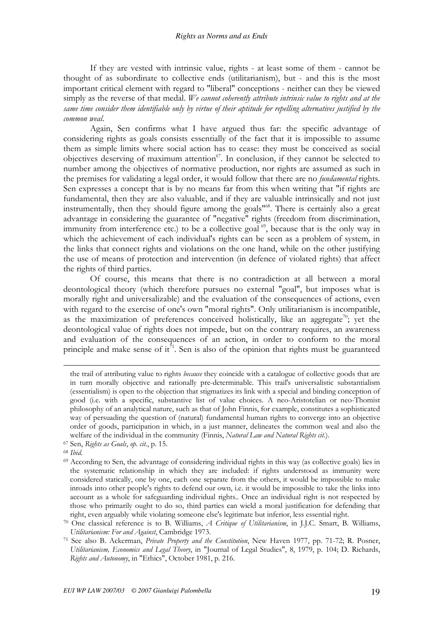If they are vested with intrinsic value, rights - at least some of them - cannot be thought of as subordinate to collective ends (utilitarianism), but - and this is the most important critical element with regard to "liberal" conceptions - neither can they be viewed simply as the reverse of that medal. We cannot coherently attribute intrinsic value to rights and at the same time consider them identifiable only by virtue of their aptitude for repelling alternatives justified by the common weal.

Again, Sen confirms what I have argued thus far: the specific advantage of considering rights as goals consists essentially of the fact that it is impossible to assume them as simple limits where social action has to cease: they must be conceived as social objectives deserving of maximum attention $67$ . In conclusion, if they cannot be selected to number among the objectives of normative production, nor rights are assumed as such in the premises for validating a legal order, it would follow that there are no *fundamental* rights. Sen expresses a concept that is by no means far from this when writing that "if rights are fundamental, then they are also valuable, and if they are valuable intrinsically and not just instrumentally, then they should figure among the goals"<sup>68</sup>. There is certainly also a great advantage in considering the guarantee of "negative" rights (freedom from discrimination, immunity from interference etc.) to be a collective goal<sup> $69$ </sup>, because that is the only way in which the achievement of each individual's rights can be seen as a problem of system, in the links that connect rights and violations on the one hand, while on the other justifying the use of means of protection and intervention (in defence of violated rights) that affect the rights of third parties.

Of course, this means that there is no contradiction at all between a moral deontological theory (which therefore pursues no external "goal", but imposes what is morally right and universalizable) and the evaluation of the consequences of actions, even with regard to the exercise of one's own "moral rights". Only utilitarianism is incompatible, as the maximization of preferences conceived holistically, like an aggregate<sup>70</sup>; yet the deontological value of rights does not impede, but on the contrary requires, an awareness and evaluation of the consequences of an action, in order to conform to the moral principle and make sense of it<sup>71</sup>. Sen is also of the opinion that rights must be guaranteed

-

the trail of attributing value to rights *because* they coincide with a catalogue of collective goods that are in turn morally objective and rationally pre-determinable. This trail's universalistic substantialism (essentialism) is open to the objection that stigmatizes its link with a special and binding conception of good (i.e. with a specific, substantive list of value choices. A neo-Aristotelian or neo-Thomist philosophy of an analytical nature, such as that of John Finnis, for example, constitutes a sophisticated way of persuading the question of (natural) fundamental human rights to converge into an objective order of goods, participation in which, in a just manner, delineates the common weal and also the welfare of the individual in the community (Finnis, Natural Law and Natural Rights cit.).

<sup>67</sup> Sen, Rights as Goals, op. cit., p. 15.

<sup>68</sup> Ibid.

<sup>69</sup> According to Sen, the advantage of considering individual rights in this way (as collective goals) lies in the systematic relationship in which they are included: if rights understood as immunity were considered statically, one by one, each one separate from the others, it would be impossible to make inroads into other people's rights to defend our own, i.e. it would be impossible to take the links into account as a whole for safeguarding individual rights.. Once an individual right is not respected by those who primarily ought to do so, third parties can wield a moral justification for defending that right, even arguably while violating someone else's legitimate but inferior, less essential right.

<sup>70</sup> One classical reference is to B. Williams, A Critique of Utilitarianism, in J.J.C. Smart, B. Williams, Utilitarianism: For and Against, Cambridge 1973.

<sup>&</sup>lt;sup>71</sup> See also B. Ackerman, *Private Property and the Constitution*, New Haven 1977, pp. 71-72; R. Posner, Utilitarianism, Economics and Legal Theory, in "Journal of Legal Studies", 8, 1979, p. 104; D. Richards, Rights and Autonomy, in "Ethics", October 1981, p. 216.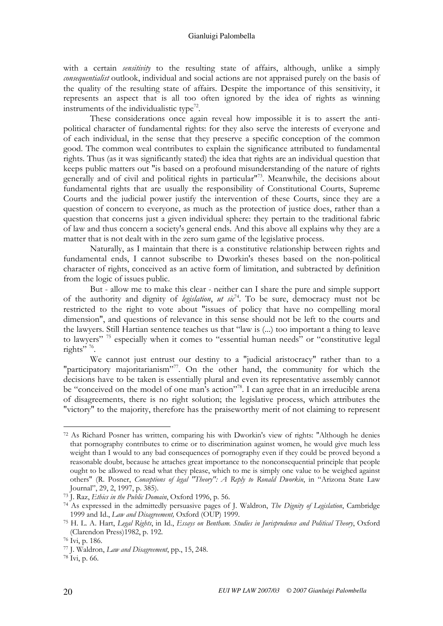with a certain *sensitivity* to the resulting state of affairs, although, unlike a simply consequentialist outlook, individual and social actions are not appraised purely on the basis of the quality of the resulting state of affairs. Despite the importance of this sensitivity, it represents an aspect that is all too often ignored by the idea of rights as winning instruments of the individualistic type<sup>72</sup>.

These considerations once again reveal how impossible it is to assert the antipolitical character of fundamental rights: for they also serve the interests of everyone and of each individual, in the sense that they preserve a specific conception of the common good. The common weal contributes to explain the significance attributed to fundamental rights. Thus (as it was significantly stated) the idea that rights are an individual question that keeps public matters out "is based on a profound misunderstanding of the nature of rights generally and of civil and political rights in particular"<sup>73</sup>. Meanwhile, the decisions about fundamental rights that are usually the responsibility of Constitutional Courts, Supreme Courts and the judicial power justify the intervention of these Courts, since they are a question of concern to everyone, as much as the protection of justice does, rather than a question that concerns just a given individual sphere: they pertain to the traditional fabric of law and thus concern a society's general ends. And this above all explains why they are a matter that is not dealt with in the zero sum game of the legislative process.

Naturally, as I maintain that there is a constitutive relationship between rights and fundamental ends, I cannot subscribe to Dworkin's theses based on the non-political character of rights, conceived as an active form of limitation, and subtracted by definition from the logic of issues public.

But - allow me to make this clear - neither can I share the pure and simple support of the authority and dignity of legislation, ut  $si^{-74}$ . To be sure, democracy must not be restricted to the right to vote about "issues of policy that have no compelling moral dimension", and questions of relevance in this sense should not be left to the courts and the lawyers. Still Hartian sentence teaches us that "law is (...) too important a thing to leave to lawyers"<sup>75</sup> especially when it comes to "essential human needs" or "constitutive legal rights"<sup>76</sup>.

We cannot just entrust our destiny to a "judicial aristocracy" rather than to a "participatory majoritarianism"<sup>77</sup>. On the other hand, the community for which the decisions have to be taken is essentially plural and even its representative assembly cannot be "conceived on the model of one man's action"<sup>78</sup>. I can agree that in an irreducible arena of disagreements, there is no right solution; the legislative process, which attributes the "victory" to the majority, therefore has the praiseworthy merit of not claiming to represent

 $\overline{a}$ <sup>72</sup> As Richard Posner has written, comparing his with Dworkin's view of rights: "Although he denies that pornography contributes to crime or to discrimination against women, he would give much less weight than I would to any bad consequences of pornography even if they could be proved beyond a reasonable doubt, because he attaches great importance to the nonconsequential principle that people ought to be allowed to read what they please, which to me is simply one value to be weighed against others" (R. Posner, Conceptions of legal "Theory": A Reply to Ronald Dworkin, in "Arizona State Law Journal", 29, 2, 1997, p. 385).

<sup>73</sup> J. Raz, Ethics in the Public Domain, Oxford 1996, p. 56.

<sup>&</sup>lt;sup>74</sup> As expressed in the admittedly persuasive pages of J. Waldron, *The Dignity of Legislation*, Cambridge 1999 and Id., Law and Disagreement, Oxford (OUP) 1999.

<sup>75</sup> H. L. A. Hart, Legal Rights, in Id., Essays on Bentham. Studies in Jurisprudence and Political Theory, Oxford (Clarendon Press)1982, p. 192.

<sup>76</sup> Ivi, p. 186.

<sup>77</sup> J. Waldron, Law and Disagreement, pp., 15, 248.

<sup>78</sup> Ivi, p. 66.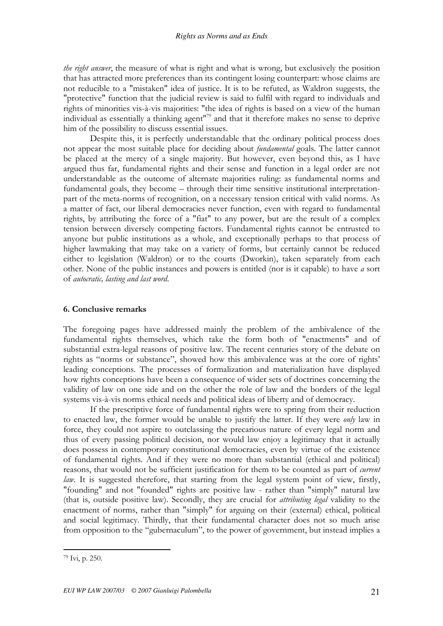the right answer, the measure of what is right and what is wrong, but exclusively the position that has attracted more preferences than its contingent losing counterpart: whose claims are not reducible to a "mistaken" idea of justice. It is to be refuted, as Waldron suggests, the "protective" function that the judicial review is said to fulfil with regard to individuals and rights of minorities vis-à-vis majorities: "the idea of rights is based on a view of the human individual as essentially a thinking agent"<sup>79</sup> and that it therefore makes no sense to deprive him of the possibility to discuss essential issues.

Despite this, it is perfectly understandable that the ordinary political process does not appear the most suitable place for deciding about fundamental goals. The latter cannot be placed at the mercy of a single majority. But however, even beyond this, as I have argued thus far, fundamental rights and their sense and function in a legal order are not understandable as the outcome of alternate majorities ruling: as fundamental norms and fundamental goals, they become – through their time sensitive institutional interpretationpart of the meta-norms of recognition, on a necessary tension critical with valid norms. As a matter of fact, our liberal democracies never function, even with regard to fundamental rights, by attributing the force of a "fiat" to any power, but are the result of a complex tension between diversely competing factors. Fundamental rights cannot be entrusted to anyone but public institutions as a whole, and exceptionally perhaps to that process of higher lawmaking that may take on a variety of forms, but certainly cannot be reduced either to legislation (Waldron) or to the courts (Dworkin), taken separately from each other. None of the public instances and powers is entitled (nor is it capable) to have a sort of autocratic, lasting and last word.

#### 6. Conclusive remarks

The foregoing pages have addressed mainly the problem of the ambivalence of the fundamental rights themselves, which take the form both of "enactments" and of substantial extra-legal reasons of positive law. The recent centuries story of the debate on rights as "norms or substance", showed how this ambivalence was at the core of rights' leading conceptions. The processes of formalization and materialization have displayed how rights conceptions have been a consequence of wider sets of doctrines concerning the validity of law on one side and on the other the role of law and the borders of the legal systems vis-à-vis norms ethical needs and political ideas of liberty and of democracy.

If the prescriptive force of fundamental rights were to spring from their reduction to enacted law, the former would be unable to justify the latter. If they were *only* law in force, they could not aspire to outclassing the precarious nature of every legal norm and thus of every passing political decision, nor would law enjoy a legitimacy that it actually does possess in contemporary constitutional democracies, even by virtue of the existence of fundamental rights. And if they were no more than substantial (ethical and political) reasons, that would not be sufficient justification for them to be counted as part of *current* law. It is suggested therefore, that starting from the legal system point of view, firstly, "founding" and not "founded" rights are positive law - rather than "simply" natural law (that is, outside positive law). Secondly, they are crucial for attributing legal validity to the enactment of norms, rather than "simply" for arguing on their (external) ethical, political and social legitimacy. Thirdly, that their fundamental character does not so much arise from opposition to the "gubernaculum", to the power of government, but instead implies a

<sup>79</sup> Ivi, p. 250.